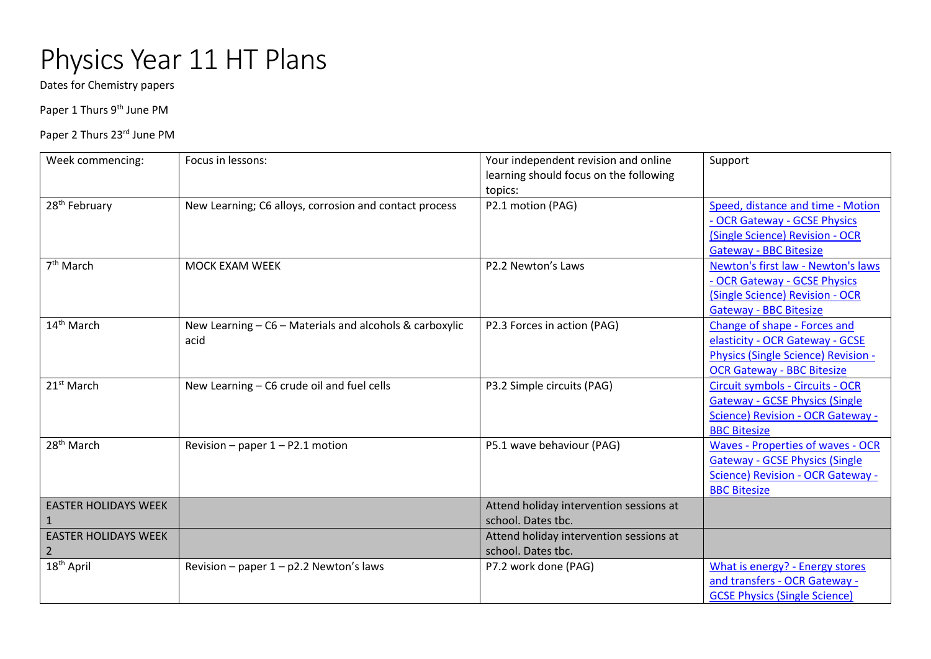## Physics Year 11 HT Plans

Dates for Chemistry papers

Paper 1 Thurs 9<sup>th</sup> June PM

Paper 2 Thurs 23rd June PM

| Week commencing:                              | Focus in lessons:                                               | Your independent revision and online<br>learning should focus on the following<br>topics: | Support                                                                                                                                     |
|-----------------------------------------------|-----------------------------------------------------------------|-------------------------------------------------------------------------------------------|---------------------------------------------------------------------------------------------------------------------------------------------|
| 28 <sup>th</sup> February                     | New Learning; C6 alloys, corrosion and contact process          | P2.1 motion (PAG)                                                                         | Speed, distance and time - Motion<br>- OCR Gateway - GCSE Physics<br>(Single Science) Revision - OCR<br><b>Gateway - BBC Bitesize</b>       |
| $7th$ March                                   | <b>MOCK EXAM WEEK</b>                                           | P2.2 Newton's Laws                                                                        | Newton's first law - Newton's laws<br>- OCR Gateway - GCSE Physics<br>(Single Science) Revision - OCR<br><b>Gateway - BBC Bitesize</b>      |
| 14 <sup>th</sup> March                        | New Learning - C6 - Materials and alcohols & carboxylic<br>acid | P2.3 Forces in action (PAG)                                                               | Change of shape - Forces and<br>elasticity - OCR Gateway - GCSE<br>Physics (Single Science) Revision -<br><b>OCR Gateway - BBC Bitesize</b> |
| 21 <sup>st</sup> March                        | New Learning - C6 crude oil and fuel cells                      | P3.2 Simple circuits (PAG)                                                                | Circuit symbols - Circuits - OCR<br><b>Gateway - GCSE Physics (Single</b><br>Science) Revision - OCR Gateway -<br><b>BBC Bitesize</b>       |
| 28 <sup>th</sup> March                        | Revision - paper $1 - P2.1$ motion                              | P5.1 wave behaviour (PAG)                                                                 | Waves - Properties of waves - OCR<br><b>Gateway - GCSE Physics (Single</b><br>Science) Revision - OCR Gateway -<br><b>BBC Bitesize</b>      |
| <b>EASTER HOLIDAYS WEEK</b>                   |                                                                 | Attend holiday intervention sessions at<br>school. Dates tbc.                             |                                                                                                                                             |
| <b>EASTER HOLIDAYS WEEK</b><br>$\overline{2}$ |                                                                 | Attend holiday intervention sessions at<br>school. Dates tbc.                             |                                                                                                                                             |
| 18 <sup>th</sup> April                        | Revision - paper $1 - p2.2$ Newton's laws                       | P7.2 work done (PAG)                                                                      | <b>What is energy? - Energy stores</b><br>and transfers - OCR Gateway -<br><b>GCSE Physics (Single Science)</b>                             |